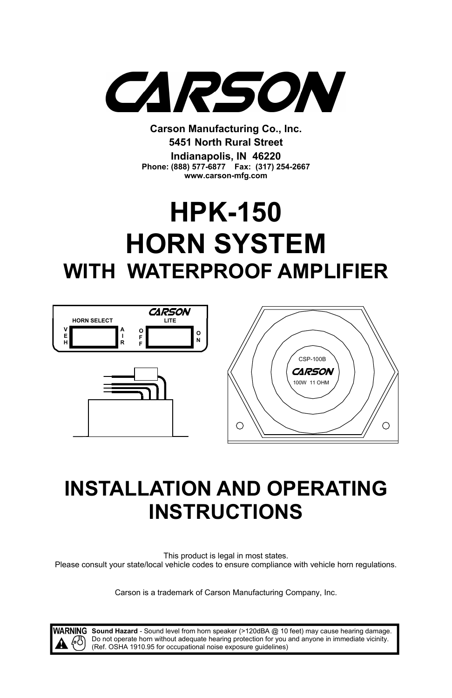

**Carson Manufacturing Co., Inc. 5451 North Rural Street Indianapolis, IN 46220 Phone: (888) 577-6877 Fax: (317) 254-2667 www.carson-mfg.com**

# **HPK-150 HORN SYSTEM WITH WATERPROOF AMPLIFIER**



## **INSTALLATION AND OPERATING INSTRUCTIONS**

This product is legal in most states. Please consult your state/local vehicle codes to ensure compliance with vehicle horn regulations.

Carson is a trademark of Carson Manufacturing Company, Inc.

WARNING Sound Hazard - Sound level from horn speaker (>120dBA @ 10 feet) may cause hearing damage. Do not operate horn without adequate hearing protection for you and anyone in immediate vicinity. (Ref. OSHA 1910.95 for occupational noise exposure guidelines)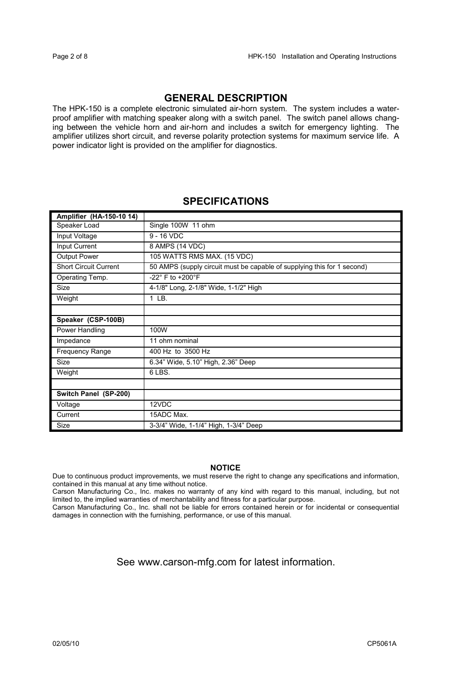## **GENERAL DESCRIPTION**

The HPK-150 is a complete electronic simulated air-horn system. The system includes a waterproof amplifier with matching speaker along with a switch panel. The switch panel allows changing between the vehicle horn and air-horn and includes a switch for emergency lighting. The amplifier utilizes short circuit, and reverse polarity protection systems for maximum service life. A power indicator light is provided on the amplifier for diagnostics.

## **SPECIFICATIONS**

| Amplifier (HA-150-10 14)     |                                                                         |  |
|------------------------------|-------------------------------------------------------------------------|--|
| Speaker Load                 | Single 100W 11 ohm                                                      |  |
| Input Voltage                | $9 - 16$ VDC                                                            |  |
| Input Current                | 8 AMPS (14 VDC)                                                         |  |
| <b>Output Power</b>          | 105 WATTS RMS MAX. (15 VDC)                                             |  |
| <b>Short Circuit Current</b> | 50 AMPS (supply circuit must be capable of supplying this for 1 second) |  |
| Operating Temp.              | -22° F to +200°F                                                        |  |
| Size                         | 4-1/8" Long, 2-1/8" Wide, 1-1/2" High                                   |  |
| Weight                       | $1$ LB.                                                                 |  |
|                              |                                                                         |  |
| Speaker (CSP-100B)           |                                                                         |  |
| Power Handling               | 100W                                                                    |  |
| Impedance                    | 11 ohm nominal                                                          |  |
| Frequency Range              | 400 Hz to 3500 Hz                                                       |  |
| Size                         | 6.34" Wide, 5.10" High, 2.36" Deep                                      |  |
| Weight                       | 6 LBS.                                                                  |  |
|                              |                                                                         |  |
| Switch Panel (SP-200)        |                                                                         |  |
| Voltage                      | 12VDC                                                                   |  |
| Current                      | 15ADC Max.                                                              |  |
| Size                         | 3-3/4" Wide, 1-1/4" High, 1-3/4" Deep                                   |  |

#### **NOTICE**

Due to continuous product improvements, we must reserve the right to change any specifications and information, contained in this manual at any time without notice.

Carson Manufacturing Co., Inc. makes no warranty of any kind with regard to this manual, including, but not limited to, the implied warranties of merchantability and fitness for a particular purpose.

Carson Manufacturing Co., Inc. shall not be liable for errors contained herein or for incidental or consequential damages in connection with the furnishing, performance, or use of this manual.

See www.carson-mfg.com for latest information.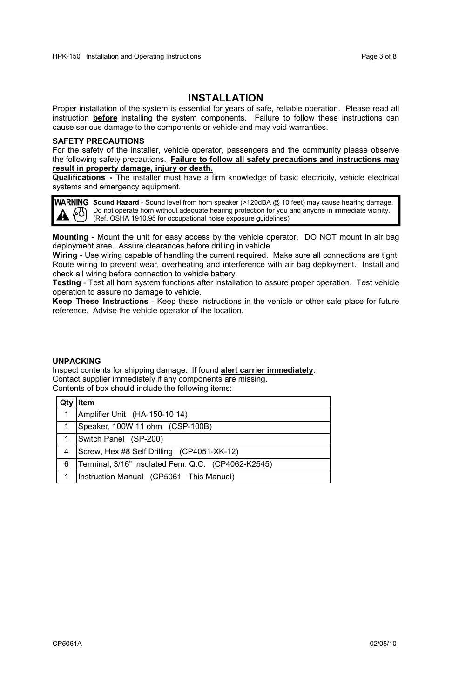### **INSTALLATION**

Proper installation of the system is essential for years of safe, reliable operation. Please read all instruction **before** installing the system components. Failure to follow these instructions can cause serious damage to the components or vehicle and may void warranties.

#### **SAFETY PRECAUTIONS**

For the safety of the installer, vehicle operator, passengers and the community please observe the following safety precautions. **Failure to follow all safety precautions and instructions may result in property damage, injury or death.**

**Qualifications -** The installer must have a firm knowledge of basic electricity, vehicle electrical systems and emergency equipment.

WARNING Sound Hazard - Sound level from horn speaker (>120dBA @ 10 feet) may cause hearing damage. Do not operate horn without adequate hearing protection for you and anyone in immediate vicinity. (Ref. OSHA 1910.95 for occupational noise exposure guidelines)

**Mounting** - Mount the unit for easy access by the vehicle operator. DO NOT mount in air bag deployment area. Assure clearances before drilling in vehicle.

**Wiring** - Use wiring capable of handling the current required. Make sure all connections are tight. Route wiring to prevent wear, overheating and interference with air bag deployment. Install and check all wiring before connection to vehicle battery.

**Testing** - Test all horn system functions after installation to assure proper operation. Test vehicle operation to assure no damage to vehicle.

**Keep These Instructions** - Keep these instructions in the vehicle or other safe place for future reference. Advise the vehicle operator of the location.

#### **UNPACKING**

Inspect contents for shipping damage. If found **alert carrier immediately**. Contact supplier immediately if any components are missing. Contents of box should include the following items:

|   | Item                                               |
|---|----------------------------------------------------|
| 1 | Amplifier Unit (HA-150-10 14)                      |
|   | Speaker, 100W 11 ohm (CSP-100B)                    |
|   | Switch Panel (SP-200)                              |
|   | Screw, Hex #8 Self Drilling (CP4051-XK-12)         |
| 6 | Terminal, 3/16" Insulated Fem. Q.C. (CP4062-K2545) |
|   | Instruction Manual (CP5061 This Manual)            |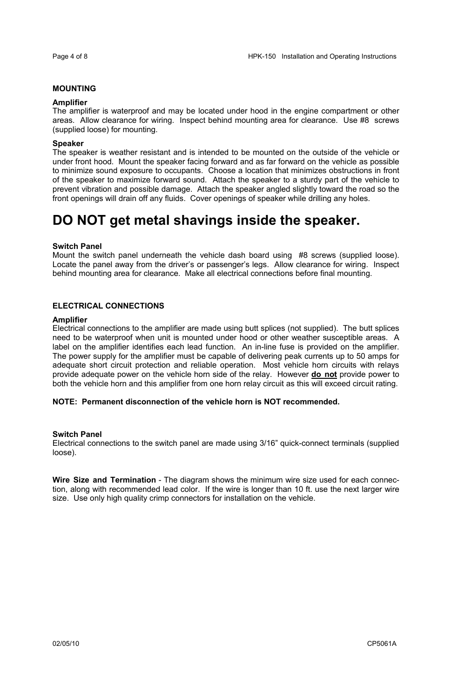#### **MOUNTING**

#### **Amplifier**

The amplifier is waterproof and may be located under hood in the engine compartment or other areas. Allow clearance for wiring. Inspect behind mounting area for clearance. Use #8 screws (supplied loose) for mounting.

#### **Speaker**

The speaker is weather resistant and is intended to be mounted on the outside of the vehicle or under front hood. Mount the speaker facing forward and as far forward on the vehicle as possible to minimize sound exposure to occupants. Choose a location that minimizes obstructions in front of the speaker to maximize forward sound. Attach the speaker to a sturdy part of the vehicle to prevent vibration and possible damage. Attach the speaker angled slightly toward the road so the front openings will drain off any fluids. Cover openings of speaker while drilling any holes.

## **DO NOT get metal shavings inside the speaker.**

#### **Switch Panel**

Mount the switch panel underneath the vehicle dash board using #8 screws (supplied loose). Locate the panel away from the driver's or passenger's legs. Allow clearance for wiring. Inspect behind mounting area for clearance. Make all electrical connections before final mounting.

#### **ELECTRICAL CONNECTIONS**

#### **Amplifier**

Electrical connections to the amplifier are made using butt splices (not supplied). The butt splices need to be waterproof when unit is mounted under hood or other weather susceptible areas. A label on the amplifier identifies each lead function. An in-line fuse is provided on the amplifier. The power supply for the amplifier must be capable of delivering peak currents up to 50 amps for adequate short circuit protection and reliable operation. Most vehicle horn circuits with relays provide adequate power on the vehicle horn side of the relay. However **do not** provide power to both the vehicle horn and this amplifier from one horn relay circuit as this will exceed circuit rating.

#### **NOTE: Permanent disconnection of the vehicle horn is NOT recommended.**

#### **Switch Panel**

Electrical connections to the switch panel are made using 3/16" quick-connect terminals (supplied loose).

**Wire Size and Termination** - The diagram shows the minimum wire size used for each connection, along with recommended lead color. If the wire is longer than 10 ft. use the next larger wire size. Use only high quality crimp connectors for installation on the vehicle.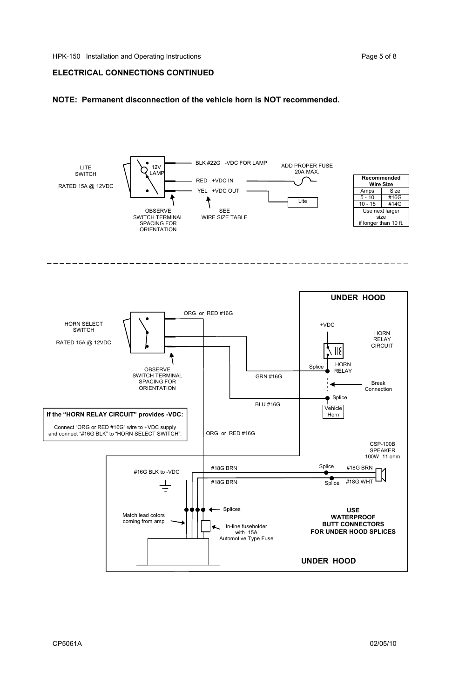#### **ELECTRICAL CONNECTIONS CONTINUED**

#### **NOTE: Permanent disconnection of the vehicle horn is NOT recommended.**

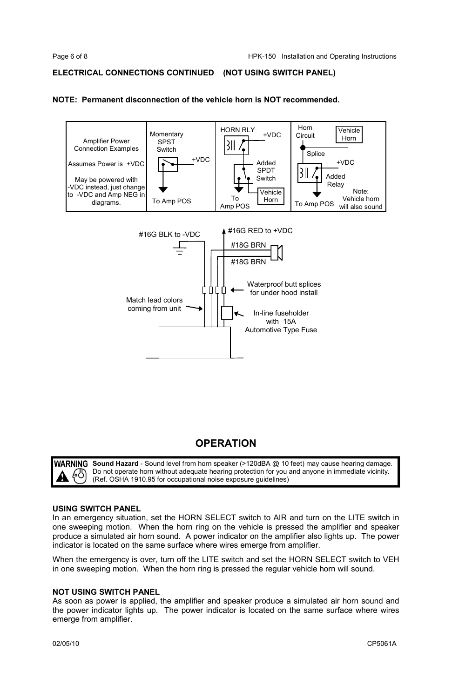#### **ELECTRICAL CONNECTIONS CONTINUED (NOT USING SWITCH PANEL)**

#### **NOTE: Permanent disconnection of the vehicle horn is NOT recommended.**



## **OPERATION**

WARNING **Sound Hazard** - Sound level from horn speaker (>120dBA @ 10 feet) may cause hearing damage. Do not operate horn without adequate hearing protection for you and anyone in immediate vicinity. ĿĽ (Ref. OSHA 1910.95 for occupational noise exposure guidelines)

#### **USING SWITCH PANEL**

In an emergency situation, set the HORN SELECT switch to AIR and turn on the LITE switch in one sweeping motion. When the horn ring on the vehicle is pressed the amplifier and speaker produce a simulated air horn sound. A power indicator on the amplifier also lights up. The power indicator is located on the same surface where wires emerge from amplifier.

When the emergency is over, turn off the LITE switch and set the HORN SELECT switch to VEH in one sweeping motion. When the horn ring is pressed the regular vehicle horn will sound.

#### **NOT USING SWITCH PANEL**

As soon as power is applied, the amplifier and speaker produce a simulated air horn sound and the power indicator lights up. The power indicator is located on the same surface where wires emerge from amplifier.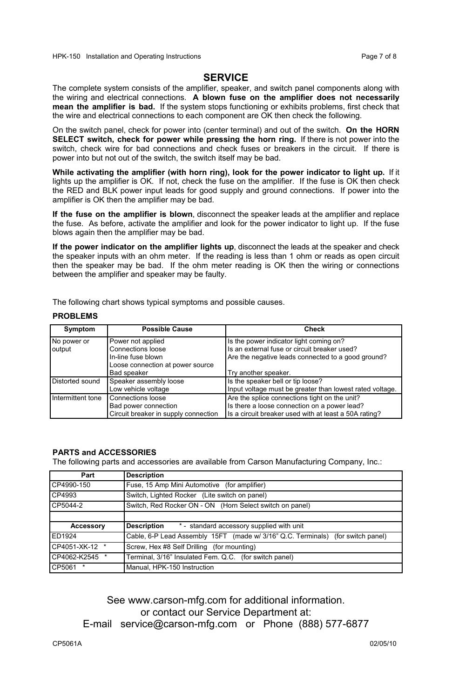#### **SERVICE**

The complete system consists of the amplifier, speaker, and switch panel components along with the wiring and electrical connections. **A blown fuse on the amplifier does not necessarily mean the amplifier is bad.** If the system stops functioning or exhibits problems, first check that the wire and electrical connections to each component are OK then check the following.

On the switch panel, check for power into (center terminal) and out of the switch. **On the HORN SELECT switch, check for power while pressing the horn ring.** If there is not power into the switch, check wire for bad connections and check fuses or breakers in the circuit. If there is power into but not out of the switch, the switch itself may be bad.

**While activating the amplifier (with horn ring), look for the power indicator to light up.** If it lights up the amplifier is OK. If not, check the fuse on the amplifier. If the fuse is OK then check the RED and BLK power input leads for good supply and ground connections. If power into the amplifier is OK then the amplifier may be bad.

**If the fuse on the amplifier is blown**, disconnect the speaker leads at the amplifier and replace the fuse. As before, activate the amplifier and look for the power indicator to light up. If the fuse blows again then the amplifier may be bad.

**If the power indicator on the amplifier lights up**, disconnect the leads at the speaker and check the speaker inputs with an ohm meter. If the reading is less than 1 ohm or reads as open circuit then the speaker may be bad. If the ohm meter reading is OK then the wiring or connections between the amplifier and speaker may be faulty.

The following chart shows typical symptoms and possible causes.

#### **PROBLEMS**

| Symptom               | <b>Possible Cause</b>                                                                                           | Check                                                                                                                                                                 |
|-----------------------|-----------------------------------------------------------------------------------------------------------------|-----------------------------------------------------------------------------------------------------------------------------------------------------------------------|
| No power or<br>output | Power not applied<br>Connections loose<br>In-line fuse blown<br>Loose connection at power source<br>Bad speaker | Is the power indicator light coming on?<br>Is an external fuse or circuit breaker used?<br>Are the negative leads connected to a good ground?<br>Try another speaker. |
| Distorted sound       | Speaker assembly loose<br>Low vehicle voltage                                                                   | Is the speaker bell or tip loose?<br>Input voltage must be greater than lowest rated voltage.                                                                         |
| Intermittent tone     | Connections loose<br>Bad power connection<br>Circuit breaker in supply connection                               | Are the splice connections tight on the unit?<br>Is there a loose connection on a power lead?<br>Is a circuit breaker used with at least a 50A rating?                |

#### **PARTS and ACCESSORIES**

The following parts and accessories are available from Carson Manufacturing Company, Inc.:

| Part           | <b>Description</b>                                                              |  |
|----------------|---------------------------------------------------------------------------------|--|
| CP4990-150     | Fuse, 15 Amp Mini Automotive (for amplifier)                                    |  |
| CP4993         | Switch, Lighted Rocker (Lite switch on panel)                                   |  |
| CP5044-2       | Switch, Red Rocker ON - ON (Horn Select switch on panel)                        |  |
|                |                                                                                 |  |
| Accessory      | * - standard accessory supplied with unit<br>Description                        |  |
| ED1924         | Cable, 6-P Lead Assembly 15FT (made w/ 3/16" Q.C. Terminals) (for switch panel) |  |
| CP4051-XK-12 * | Screw, Hex #8 Self Drilling (for mounting)                                      |  |
| CP4062-K2545 * | Terminal, 3/16" Insulated Fem. Q.C. (for switch panel)                          |  |
| CP5061         | Manual, HPK-150 Instruction                                                     |  |

See www.carson-mfg.com for additional information. or contact our Service Department at: E-mail service@carson-mfg.com or Phone (888) 577-6877